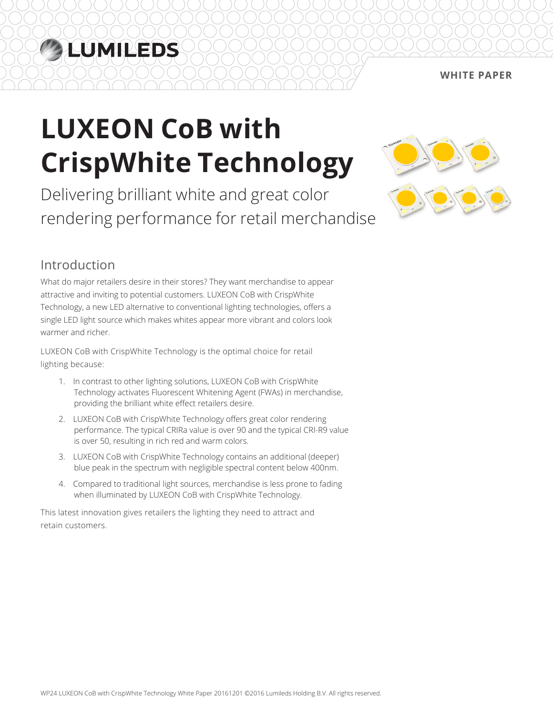## LUMILEDS

#### **White Paper**

# **LUXEON CoB with CrispWhite Technology**

Delivering brilliant white and great color rendering performance for retail merchandise



### Introduction

What do major retailers desire in their stores? They want merchandise to appear attractive and inviting to potential customers. LUXEON CoB with CrispWhite Technology, a new LED alternative to conventional lighting technologies, offers a single LED light source which makes whites appear more vibrant and colors look warmer and richer.

LUXEON CoB with CrispWhite Technology is the optimal choice for retail lighting because:

- 1. In contrast to other lighting solutions, LUXEON CoB with CrispWhite Technology activates Fluorescent Whitening Agent (FWAs) in merchandise, providing the brilliant white effect retailers desire.
- 2. LUXEON CoB with CrispWhite Technology offers great color rendering performance. The typical CRIRa value is over 90 and the typical CRI-R9 value is over 50, resulting in rich red and warm colors.
- 3. LUXEON CoB with CrispWhite Technology contains an additional (deeper) blue peak in the spectrum with negligible spectral content below 400nm.
- 4. Compared to traditional light sources, merchandise is less prone to fading when illuminated by LUXEON CoB with CrispWhite Technology.

This latest innovation gives retailers the lighting they need to attract and retain customers.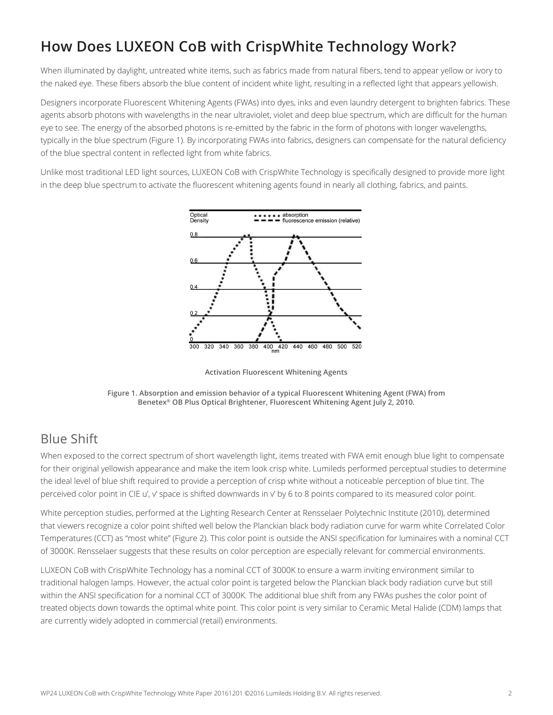### **How Does LUXEON CoB with CrispWhite Technology Work?**

When illuminated by daylight, untreated white items, such as fabrics made from natural fibers, tend to appear yellow or ivory to the naked eye. These fibers absorb the blue content of incident white light, resulting in a reflected light that appears yellowish.

Designers incorporate Fluorescent Whitening Agents (FWAs) into dyes, inks and even laundry detergent to brighten fabrics. These agents absorb photons with wavelengths in the near ultraviolet, violet and deep blue spectrum, which are difficult for the human eye to see. The energy of the absorbed photons is re-emitted by the fabric in the form of photons with longer wavelengths, typically in the blue spectrum (Figure 1). By incorporating FWAs into fabrics, designers can compensate for the natural deficiency of the blue spectral content in reflected light from white fabrics.

Unlike most traditional LED light sources, LUXEON CoB with CrispWhite Technology is specifically designed to provide more light in the deep blue spectrum to activate the fluorescent whitening agents found in nearly all clothing, fabrics, and paints.



**Activation Fluorescent Whitening Agents**



#### Blue Shift

When exposed to the correct spectrum of short wavelength light, items treated with FWA emit enough blue light to compensate for their original yellowish appearance and make the item look crisp white. Lumileds performed perceptual studies to determine the ideal level of blue shift required to provide a perception of crisp white without a noticeable perception of blue tint. The perceived color point in CIE u', v' space is shifted downwards in v' by 6 to 8 points compared to its measured color point.

White perception studies, performed at the Lighting Research Center at Rensselaer Polytechnic Institute (2010), determined that viewers recognize a color point shifted well below the Planckian black body radiation curve for warm white Correlated Color Temperatures (CCT) as "most white" (Figure 2). This color point is outside the ANSI specification for luminaires with a nominal CCT of 3000K. Rensselaer suggests that these results on color perception are especially relevant for commercial environments.

LUXEON CoB with CrispWhite Technology has a nominal CCT of 3000K to ensure a warm inviting environment similar to traditional halogen lamps. However, the actual color point is targeted below the Planckian black body radiation curve but still within the ANSI specification for a nominal CCT of 3000K. The additional blue shift from any FWAs pushes the color point of treated objects down towards the optimal white point. This color point is very similar to Ceramic Metal Halide (CDM) lamps that are currently widely adopted in commercial (retail) environments.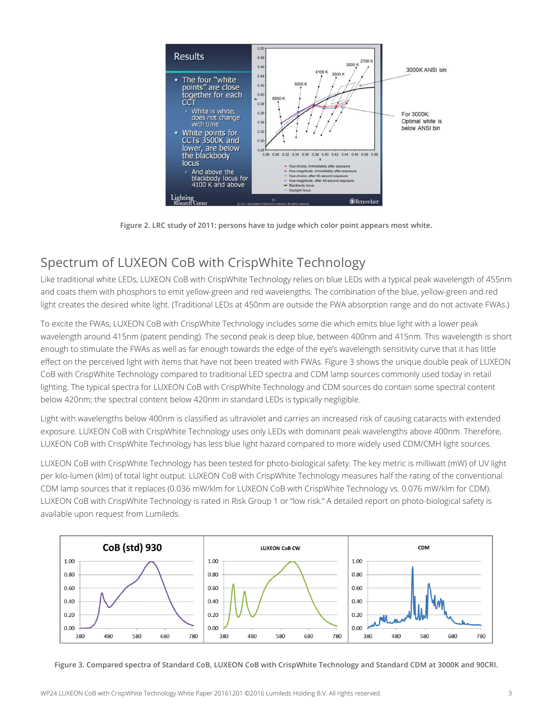

**Figure 2. LRC study of 2011: persons have to judge which color point appears most white.**

#### Spectrum of LUXEON CoB with CrispWhite Technology

Like traditional white LEDs, LUXEON CoB with CrispWhite Technology relies on blue LEDs with a typical peak wavelength of 455nm and coats them with phosphors to emit yellow-green and red wavelengths. The combination of the blue, yellow-green and red light creates the desired white light. (Traditional LEDs at 450nm are outside the FWA absorption range and do not activate FWAs.)

To excite the FWAs, LUXEON CoB with CrispWhite Technology includes some die which emits blue light with a lower peak wavelength around 415nm (patent pending). The second peak is deep blue, between 400nm and 415nm. This wavelength is short enough to stimulate the FWAs as well as far enough towards the edge of the eye's wavelength sensitivity curve that it has little effect on the perceived light with items that have not been treated with FWAs. Figure 3 shows the unique double peak of LUXEON CoB with CrispWhite Technology compared to traditional LED spectra and CDM lamp sources commonly used today in retail lighting. The typical spectra for LUXEON CoB with CrispWhite Technology and CDM sources do contain some spectral content below 420nm; the spectral content below 420nm in standard LEDs is typically negligible.

Light with wavelengths below 400nm is classified as ultraviolet and carries an increased risk of causing cataracts with extended exposure. LUXEON CoB with CrispWhite Technology uses only LEDs with dominant peak wavelengths above 400nm. Therefore, LUXEON CoB with CrispWhite Technology has less blue light hazard compared to more widely used CDM/CMH light sources.

LUXEON CoB with CrispWhite Technology has been tested for photo-biological safety. The key metric is milliwatt (mW) of UV light per kilo-lumen (klm) of total light output. LUXEON CoB with CrispWhite Technology measures half the rating of the conventional CDM lamp sources that it replaces (0.036 mW/klm for LUXEON CoB with CrispWhite Technology vs. 0.076 mW/klm for CDM). LUXEON CoB with CrispWhite Technology is rated in Risk Group 1 or "low risk." A detailed report on photo-biological safety is available upon request from Lumileds.



**Figure 3. Compared spectra of Standard CoB, LUXEON CoB with CrispWhite Technology and Standard CDM at 3000K and 90CRI.**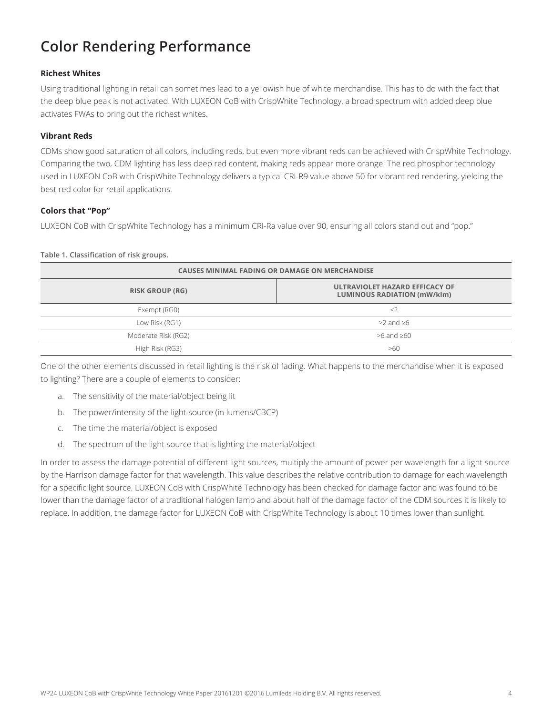### **Color Rendering Performance**

#### **Richest Whites**

Using traditional lighting in retail can sometimes lead to a yellowish hue of white merchandise. This has to do with the fact that the deep blue peak is not activated. With LUXEON CoB with CrispWhite Technology, a broad spectrum with added deep blue activates FWAs to bring out the richest whites.

#### **Vibrant Reds**

CDMs show good saturation of all colors, including reds, but even more vibrant reds can be achieved with CrispWhite Technology. Comparing the two, CDM lighting has less deep red content, making reds appear more orange. The red phosphor technology used in LUXEON CoB with CrispWhite Technology delivers a typical CRI-R9 value above 50 for vibrant red rendering, yielding the best red color for retail applications.

#### **Colors that "Pop"**

LUXEON CoB with CrispWhite Technology has a minimum CRI-Ra value over 90, ensuring all colors stand out and "pop."

#### **Table 1. Classification of risk groups.**

| <b>CAUSES MINIMAL FADING OR DAMAGE ON MERCHANDISE</b> |                                                                      |  |
|-------------------------------------------------------|----------------------------------------------------------------------|--|
| <b>RISK GROUP (RG)</b>                                | ULTRAVIOLET HAZARD EFFICACY OF<br><b>LUMINOUS RADIATION (mW/klm)</b> |  |
| Exempt (RG0)                                          | $\leq$ 2                                                             |  |
| Low Risk (RG1)                                        | $>2$ and $>6$                                                        |  |
| Moderate Risk (RG2)                                   | $>6$ and $>60$                                                       |  |
| High Risk (RG3)                                       | >60                                                                  |  |

One of the other elements discussed in retail lighting is the risk of fading. What happens to the merchandise when it is exposed to lighting? There are a couple of elements to consider:

- a. The sensitivity of the material/object being lit
- b. The power/intensity of the light source (in lumens/CBCP)
- c. The time the material/object is exposed
- d. The spectrum of the light source that is lighting the material/object

In order to assess the damage potential of different light sources, multiply the amount of power per wavelength for a light source by the Harrison damage factor for that wavelength. This value describes the relative contribution to damage for each wavelength for a specific light source. LUXEON CoB with CrispWhite Technology has been checked for damage factor and was found to be lower than the damage factor of a traditional halogen lamp and about half of the damage factor of the CDM sources it is likely to replace. In addition, the damage factor for LUXEON CoB with CrispWhite Technology is about 10 times lower than sunlight.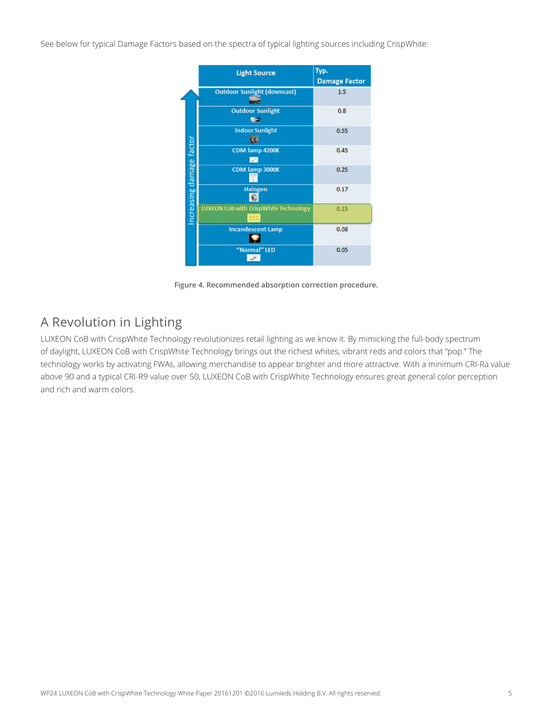See below for typical Damage Factors based on the spectra of typical lighting sources including CrispWhite:

|                          | <b>Light Source</b>                          | Typ.<br><b>Damage Factor</b> |
|--------------------------|----------------------------------------------|------------------------------|
|                          | <b>Outdoor Sunlight (downcast)</b>           | 1.5                          |
|                          | <b>Outdoor Sunlight</b><br>-2                | 0.8                          |
|                          | <b>Indoor Sunlight</b><br>Кij                | 0.55                         |
| Increasing damage factor | CDM lamp 4200K<br>V.                         | 0.45                         |
|                          | CDM lamp 3000K                               | 0.25                         |
|                          | Halogen                                      | 0.17                         |
|                          | <b>LUXEON CoB with CrispWhite Technology</b> | 0.15                         |
|                          | <b>Incandescent Lamp</b>                     | 0.08                         |
|                          | "Normal" LED                                 | 0.05                         |

**Figure 4. Recommended absorption correction procedure.**

### A Revolution in Lighting

LUXEON CoB with CrispWhite Technology revolutionizes retail lighting as we know it. By mimicking the full-body spectrum of daylight, LUXEON CoB with CrispWhite Technology brings out the richest whites, vibrant reds and colors that "pop." The technology works by activating FWAs, allowing merchandise to appear brighter and more attractive. With a minimum CRI-Ra value above 90 and a typical CRI-R9 value over 50, LUXEON CoB with CrispWhite Technology ensures great general color perception and rich and warm colors.